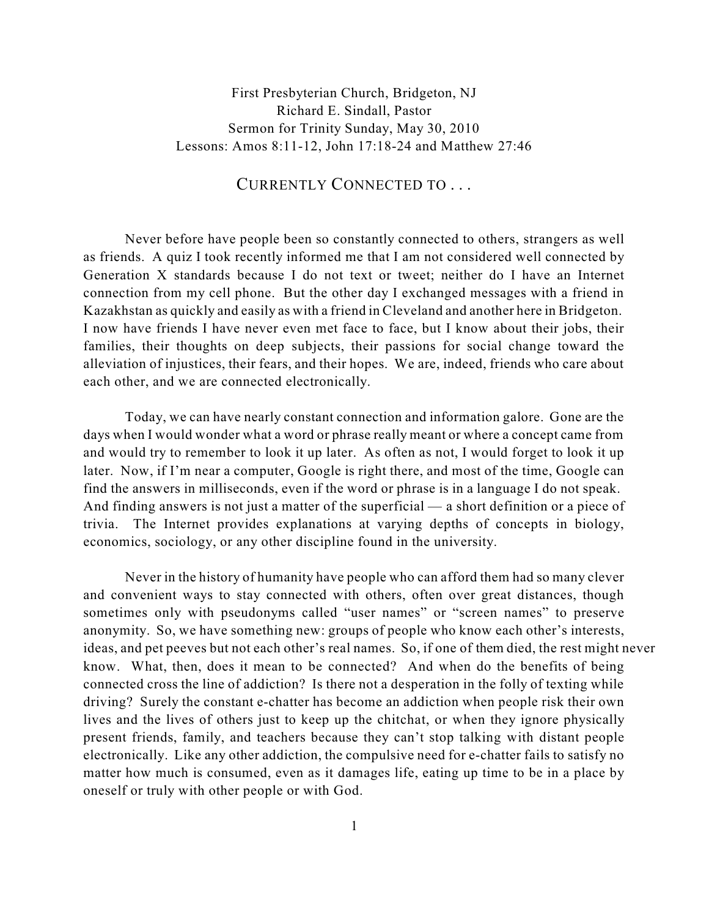First Presbyterian Church, Bridgeton, NJ Richard E. Sindall, Pastor Sermon for Trinity Sunday, May 30, 2010 Lessons: Amos 8:11-12, John 17:18-24 and Matthew 27:46

## CURRENTLY CONNECTED TO . . .

Never before have people been so constantly connected to others, strangers as well as friends. A quiz I took recently informed me that I am not considered well connected by Generation X standards because I do not text or tweet; neither do I have an Internet connection from my cell phone. But the other day I exchanged messages with a friend in Kazakhstan as quickly and easily as with a friend in Cleveland and another here in Bridgeton. I now have friends I have never even met face to face, but I know about their jobs, their families, their thoughts on deep subjects, their passions for social change toward the alleviation of injustices, their fears, and their hopes. We are, indeed, friends who care about each other, and we are connected electronically.

Today, we can have nearly constant connection and information galore. Gone are the days when I would wonder what a word or phrase really meant or where a concept came from and would try to remember to look it up later. As often as not, I would forget to look it up later. Now, if I'm near a computer, Google is right there, and most of the time, Google can find the answers in milliseconds, even if the word or phrase is in a language I do not speak. And finding answers is not just a matter of the superficial — a short definition or a piece of trivia. The Internet provides explanations at varying depths of concepts in biology, economics, sociology, or any other discipline found in the university.

Never in the history of humanity have people who can afford them had so many clever and convenient ways to stay connected with others, often over great distances, though sometimes only with pseudonyms called "user names" or "screen names" to preserve anonymity. So, we have something new: groups of people who know each other's interests, ideas, and pet peeves but not each other's real names. So, if one of them died, the rest might never know. What, then, does it mean to be connected? And when do the benefits of being connected cross the line of addiction? Is there not a desperation in the folly of texting while driving? Surely the constant e-chatter has become an addiction when people risk their own lives and the lives of others just to keep up the chitchat, or when they ignore physically present friends, family, and teachers because they can't stop talking with distant people electronically. Like any other addiction, the compulsive need for e-chatter fails to satisfy no matter how much is consumed, even as it damages life, eating up time to be in a place by oneself or truly with other people or with God.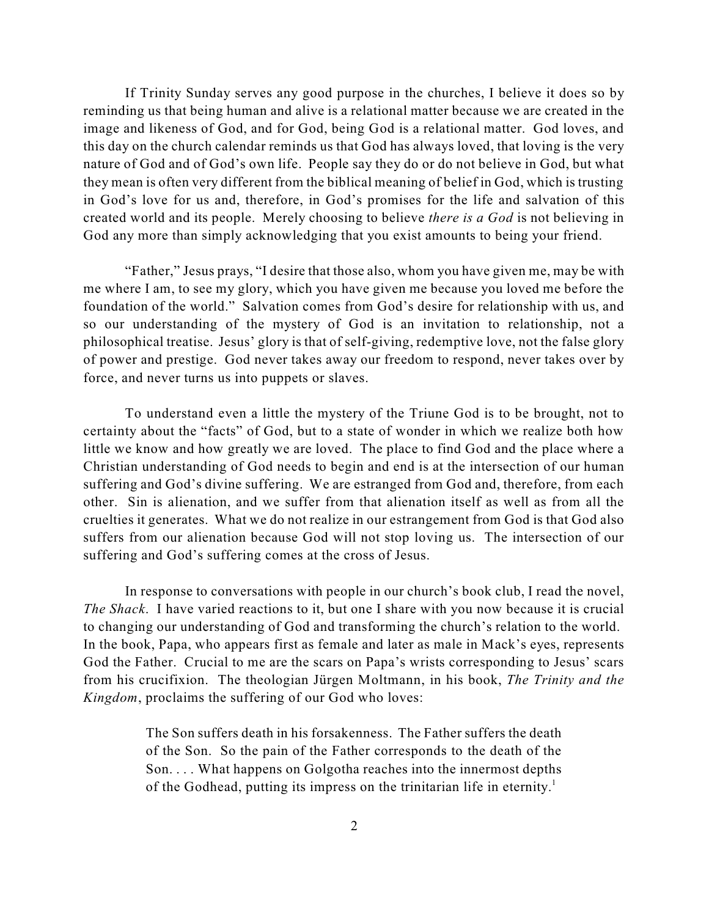If Trinity Sunday serves any good purpose in the churches, I believe it does so by reminding us that being human and alive is a relational matter because we are created in the image and likeness of God, and for God, being God is a relational matter. God loves, and this day on the church calendar reminds us that God has always loved, that loving is the very nature of God and of God's own life. People say they do or do not believe in God, but what they mean is often very different from the biblical meaning of belief in God, which is trusting in God's love for us and, therefore, in God's promises for the life and salvation of this created world and its people. Merely choosing to believe *there is a God* is not believing in God any more than simply acknowledging that you exist amounts to being your friend.

"Father," Jesus prays, "I desire that those also, whom you have given me, may be with me where I am, to see my glory, which you have given me because you loved me before the foundation of the world." Salvation comes from God's desire for relationship with us, and so our understanding of the mystery of God is an invitation to relationship, not a philosophical treatise. Jesus' glory is that of self-giving, redemptive love, not the false glory of power and prestige. God never takes away our freedom to respond, never takes over by force, and never turns us into puppets or slaves.

To understand even a little the mystery of the Triune God is to be brought, not to certainty about the "facts" of God, but to a state of wonder in which we realize both how little we know and how greatly we are loved. The place to find God and the place where a Christian understanding of God needs to begin and end is at the intersection of our human suffering and God's divine suffering. We are estranged from God and, therefore, from each other. Sin is alienation, and we suffer from that alienation itself as well as from all the cruelties it generates. What we do not realize in our estrangement from God is that God also suffers from our alienation because God will not stop loving us. The intersection of our suffering and God's suffering comes at the cross of Jesus.

In response to conversations with people in our church's book club, I read the novel, *The Shack*. I have varied reactions to it, but one I share with you now because it is crucial to changing our understanding of God and transforming the church's relation to the world. In the book, Papa, who appears first as female and later as male in Mack's eyes, represents God the Father. Crucial to me are the scars on Papa's wrists corresponding to Jesus' scars from his crucifixion. The theologian Jürgen Moltmann, in his book, *The Trinity and the Kingdom*, proclaims the suffering of our God who loves:

> The Son suffers death in his forsakenness. The Father suffers the death of the Son. So the pain of the Father corresponds to the death of the Son. . . . What happens on Golgotha reaches into the innermost depths of the Godhead, putting its impress on the trinitarian life in eternity.<sup>1</sup>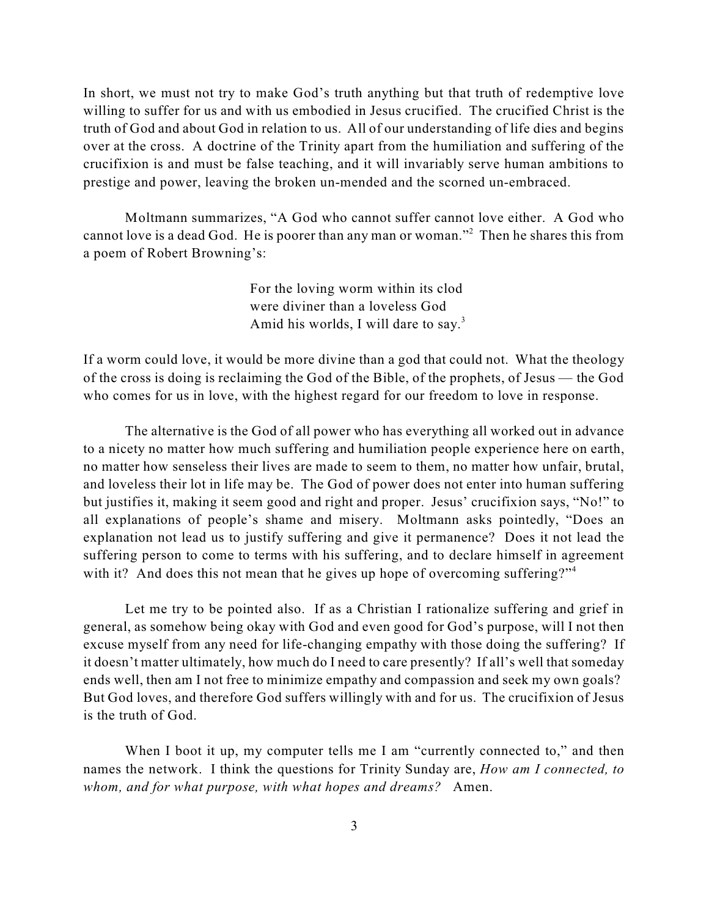In short, we must not try to make God's truth anything but that truth of redemptive love willing to suffer for us and with us embodied in Jesus crucified. The crucified Christ is the truth of God and about God in relation to us. All of our understanding of life dies and begins over at the cross. A doctrine of the Trinity apart from the humiliation and suffering of the crucifixion is and must be false teaching, and it will invariably serve human ambitions to prestige and power, leaving the broken un-mended and the scorned un-embraced.

Moltmann summarizes, "A God who cannot suffer cannot love either. A God who cannot love is a dead God. He is poorer than any man or woman."<sup>2</sup> Then he shares this from a poem of Robert Browning's:

> For the loving worm within its clod were diviner than a loveless God Amid his worlds, I will dare to say. $3$

If a worm could love, it would be more divine than a god that could not. What the theology of the cross is doing is reclaiming the God of the Bible, of the prophets, of Jesus — the God who comes for us in love, with the highest regard for our freedom to love in response.

The alternative is the God of all power who has everything all worked out in advance to a nicety no matter how much suffering and humiliation people experience here on earth, no matter how senseless their lives are made to seem to them, no matter how unfair, brutal, and loveless their lot in life may be. The God of power does not enter into human suffering but justifies it, making it seem good and right and proper. Jesus' crucifixion says, "No!" to all explanations of people's shame and misery. Moltmann asks pointedly, "Does an explanation not lead us to justify suffering and give it permanence? Does it not lead the suffering person to come to terms with his suffering, and to declare himself in agreement with it? And does this not mean that he gives up hope of overcoming suffering?"<sup>4</sup>

Let me try to be pointed also. If as a Christian I rationalize suffering and grief in general, as somehow being okay with God and even good for God's purpose, will I not then excuse myself from any need for life-changing empathy with those doing the suffering? If it doesn't matter ultimately, how much do I need to care presently? If all's well that someday ends well, then am I not free to minimize empathy and compassion and seek my own goals? But God loves, and therefore God suffers willingly with and for us. The crucifixion of Jesus is the truth of God.

When I boot it up, my computer tells me I am "currently connected to," and then names the network. I think the questions for Trinity Sunday are, *How am I connected, to whom, and for what purpose, with what hopes and dreams?* Amen.